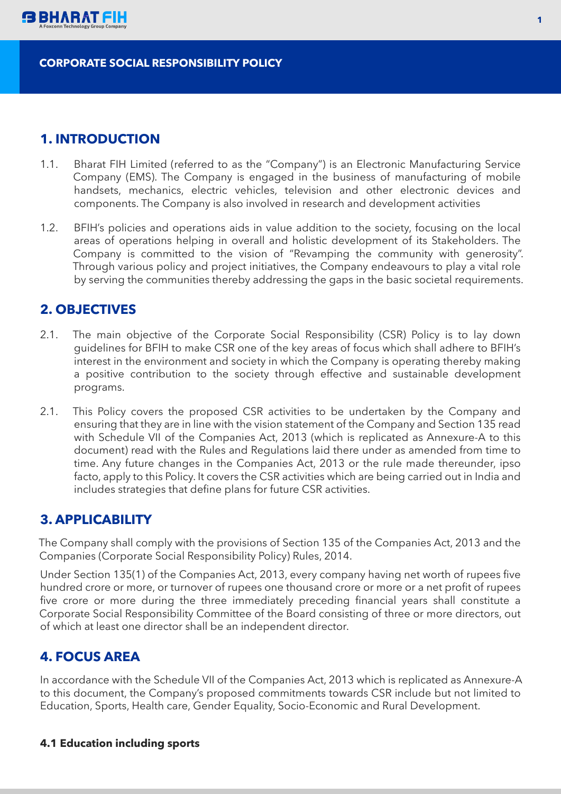

#### **CORPORATE SOCIAL RESPONSIBILITY POLICY**

## **1. INTRODUCTION**

- 1.1. Bharat FIH Limited (referred to as the "Company") is an Electronic Manufacturing Service Company (EMS). The Company is engaged in the business of manufacturing of mobile handsets, mechanics, electric vehicles, television and other electronic devices and components. The Company is also involved in research and development activities
- 1.2. BFIH's policies and operations aids in value addition to the society, focusing on the local areas of operations helping in overall and holistic development of its Stakeholders. The Company is committed to the vision of "Revamping the community with generosity". Through various policy and project initiatives, the Company endeavours to play a vital role by serving the communities thereby addressing the gaps in the basic societal requirements.

## **2. OBJECTIVES**

- 2.1. The main objective of the Corporate Social Responsibility (CSR) Policy is to lay down guidelines for BFIH to make CSR one of the key areas of focus which shall adhere to BFIH's interest in the environment and society in which the Company is operating thereby making a positive contribution to the society through effective and sustainable development programs.
- 2.1. This Policy covers the proposed CSR activities to be undertaken by the Company and ensuring that they are in line with the vision statement of the Company and Section 135 read with Schedule VII of the Companies Act, 2013 (which is replicated as Annexure-A to this document) read with the Rules and Regulations laid there under as amended from time to time. Any future changes in the Companies Act, 2013 or the rule made thereunder, ipso facto, apply to this Policy. It covers the CSR activities which are being carried out in India and includes strategies that define plans for future CSR activities.

## **3. APPLICABILITY**

The Company shall comply with the provisions of Section 135 of the Companies Act, 2013 and the Companies (Corporate Social Responsibility Policy) Rules, 2014.

Under Section 135(1) of the Companies Act, 2013, every company having net worth of rupees five hundred crore or more, or turnover of rupees one thousand crore or more or a net profit of rupees five crore or more during the three immediately preceding financial years shall constitute a Corporate Social Responsibility Committee of the Board consisting of three or more directors, out of which at least one director shall be an independent director.

# **4. FOCUS AREA**

In accordance with the Schedule VII of the Companies Act, 2013 which is replicated as Annexure-A to this document, the Company's proposed commitments towards CSR include but not limited to Education, Sports, Health care, Gender Equality, Socio-Economic and Rural Development.

#### **4.1 Education including sports**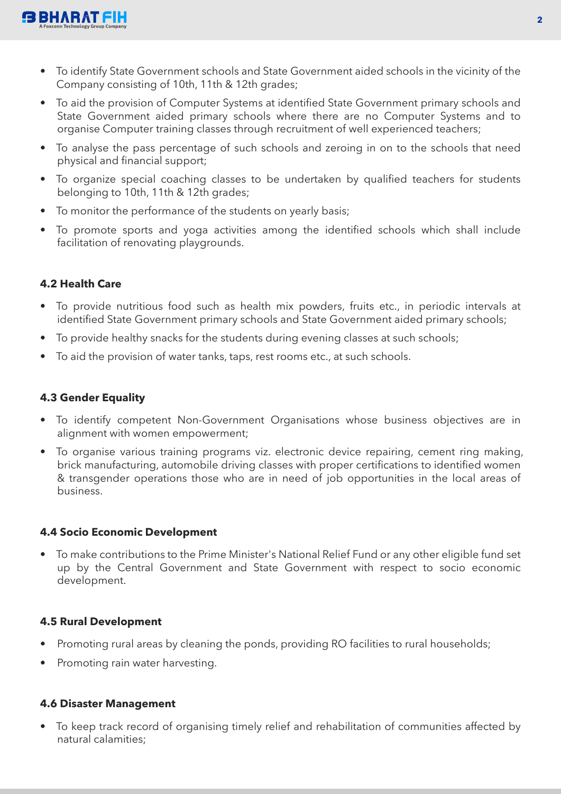

- To identify State Government schools and State Government aided schools in the vicinity of the Company consisting of 10th, 11th & 12th grades;
- To aid the provision of Computer Systems at identified State Government primary schools and State Government aided primary schools where there are no Computer Systems and to organise Computer training classes through recruitment of well experienced teachers;
- To analyse the pass percentage of such schools and zeroing in on to the schools that need physical and financial support;
- To organize special coaching classes to be undertaken by qualified teachers for students belonging to 10th, 11th & 12th grades;
- To monitor the performance of the students on yearly basis;
- To promote sports and yoga activities among the identified schools which shall include facilitation of renovating playgrounds.

### **4.2 Health Care**

- To provide nutritious food such as health mix powders, fruits etc., in periodic intervals at identified State Government primary schools and State Government aided primary schools;
- To provide healthy snacks for the students during evening classes at such schools;
- To aid the provision of water tanks, taps, rest rooms etc., at such schools.

## **4.3 Gender Equality**

- To identify competent Non-Government Organisations whose business objectives are in alignment with women empowerment;
- To organise various training programs viz. electronic device repairing, cement ring making, brick manufacturing, automobile driving classes with proper certifications to identified women & transgender operations those who are in need of job opportunities in the local areas of business.

#### **4.4 Socio Economic Development**

• To make contributions to the Prime Minister's National Relief Fund or any other eligible fund set up by the Central Government and State Government with respect to socio economic development.

#### **4.5 Rural Development**

- Promoting rural areas by cleaning the ponds, providing RO facilities to rural households;
- Promoting rain water harvesting.

#### **4.6 Disaster Management**

• To keep track record of organising timely relief and rehabilitation of communities affected by natural calamities;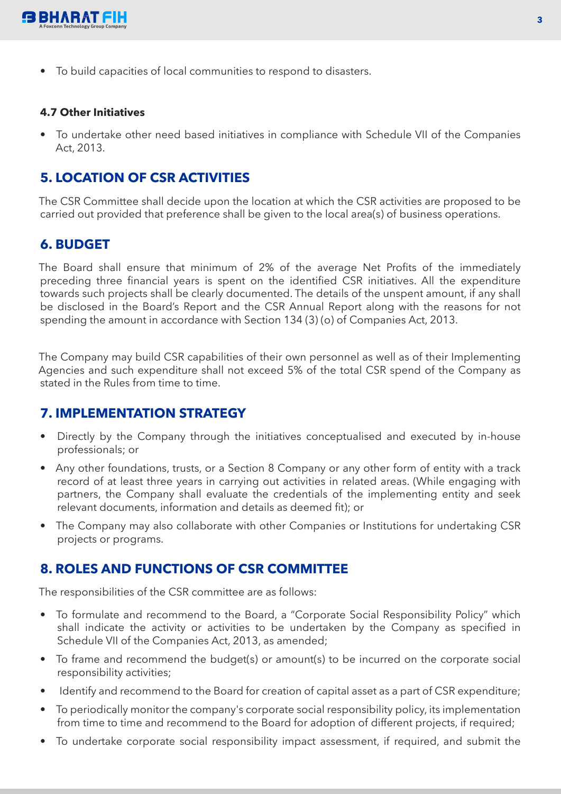

• To build capacities of local communities to respond to disasters.

#### **4.7 Other Initiatives**

• To undertake other need based initiatives in compliance with Schedule VII of the Companies Act, 2013.

# **5. LOCATION OF CSR ACTIVITIES**

The CSR Committee shall decide upon the location at which the CSR activities are proposed to be carried out provided that preference shall be given to the local area(s) of business operations.

## **6. BUDGET**

The Board shall ensure that minimum of 2% of the average Net Profits of the immediately preceding three financial years is spent on the identified CSR initiatives. All the expenditure towards such projects shall be clearly documented. The details of the unspent amount, if any shall be disclosed in the Board's Report and the CSR Annual Report along with the reasons for not spending the amount in accordance with Section 134 (3) (o) of Companies Act, 2013.

The Company may build CSR capabilities of their own personnel as well as of their Implementing Agencies and such expenditure shall not exceed 5% of the total CSR spend of the Company as stated in the Rules from time to time.

## **7. IMPLEMENTATION STRATEGY**

- Directly by the Company through the initiatives conceptualised and executed by in-house professionals; or
- Any other foundations, trusts, or a Section 8 Company or any other form of entity with a track record of at least three years in carrying out activities in related areas. (While engaging with partners, the Company shall evaluate the credentials of the implementing entity and seek relevant documents, information and details as deemed fit); or
- The Company may also collaborate with other Companies or Institutions for undertaking CSR projects or programs.

## **8. ROLES AND FUNCTIONS OF CSR COMMITTEE**

The responsibilities of the CSR committee are as follows:

- To formulate and recommend to the Board, a "Corporate Social Responsibility Policy" which shall indicate the activity or activities to be undertaken by the Company as specified in Schedule VII of the Companies Act, 2013, as amended;
- To frame and recommend the budget(s) or amount(s) to be incurred on the corporate social responsibility activities;
- Identify and recommend to the Board for creation of capital asset as a part of CSR expenditure;
- To periodically monitor the company's corporate social responsibility policy, its implementation from time to time and recommend to the Board for adoption of different projects, if required;
- To undertake corporate social responsibility impact assessment, if required, and submit the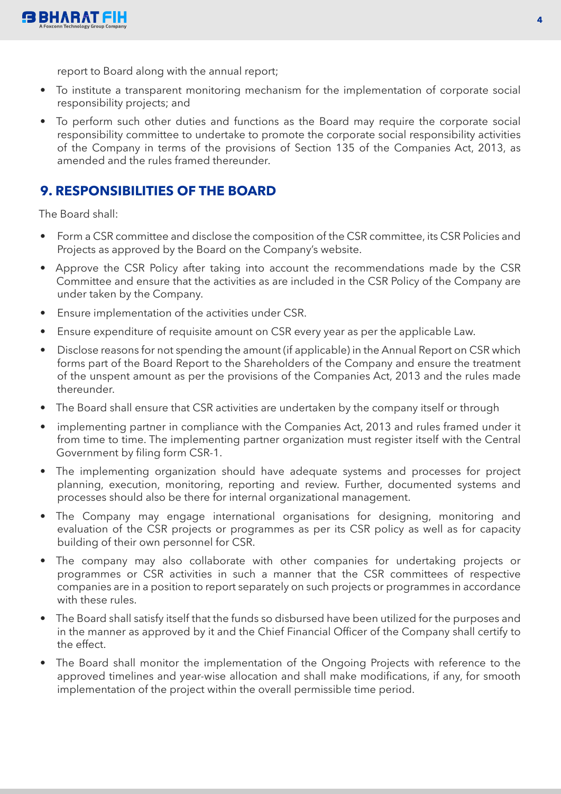report to Board along with the annual report;

- To institute a transparent monitoring mechanism for the implementation of corporate social responsibility projects; and
- To perform such other duties and functions as the Board may require the corporate social responsibility committee to undertake to promote the corporate social responsibility activities of the Company in terms of the provisions of Section 135 of the Companies Act, 2013, as amended and the rules framed thereunder.

# **9. RESPONSIBILITIES OF THE BOARD**

The Board shall:

- Form a CSR committee and disclose the composition of the CSR committee, its CSR Policies and Projects as approved by the Board on the Company's website.
- Approve the CSR Policy after taking into account the recommendations made by the CSR Committee and ensure that the activities as are included in the CSR Policy of the Company are under taken by the Company.
- Ensure implementation of the activities under CSR.
- Ensure expenditure of requisite amount on CSR every year as per the applicable Law.
- Disclose reasons for not spending the amount (if applicable) in the Annual Report on CSR which forms part of the Board Report to the Shareholders of the Company and ensure the treatment of the unspent amount as per the provisions of the Companies Act, 2013 and the rules made thereunder.
- The Board shall ensure that CSR activities are undertaken by the company itself or through
- implementing partner in compliance with the Companies Act, 2013 and rules framed under it from time to time. The implementing partner organization must register itself with the Central Government by filing form CSR-1.
- The implementing organization should have adequate systems and processes for project planning, execution, monitoring, reporting and review. Further, documented systems and processes should also be there for internal organizational management.
- The Company may engage international organisations for designing, monitoring and evaluation of the CSR projects or programmes as per its CSR policy as well as for capacity building of their own personnel for CSR.
- The company may also collaborate with other companies for undertaking projects or programmes or CSR activities in such a manner that the CSR committees of respective companies are in a position to report separately on such projects or programmes in accordance with these rules.
- The Board shall satisfy itself that the funds so disbursed have been utilized for the purposes and in the manner as approved by it and the Chief Financial Officer of the Company shall certify to the effect.
- The Board shall monitor the implementation of the Ongoing Projects with reference to the approved timelines and year-wise allocation and shall make modifications, if any, for smooth implementation of the project within the overall permissible time period.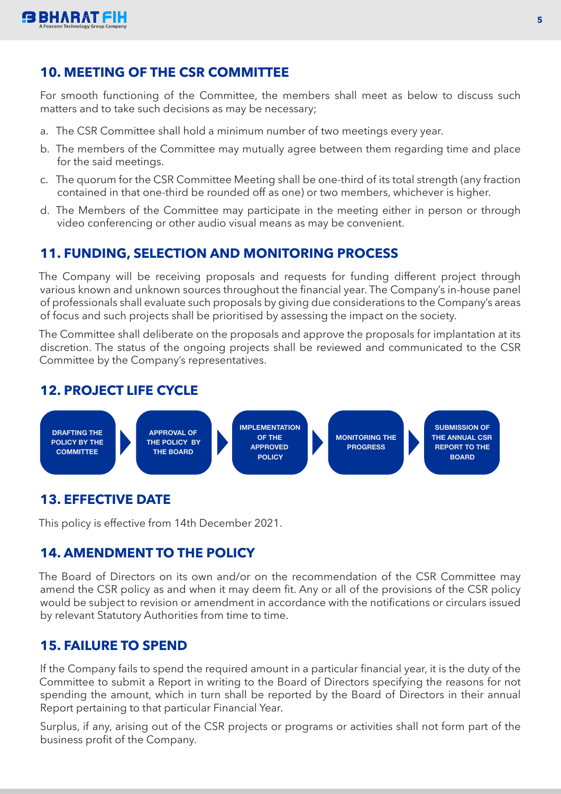

# **10. MEETING OF THE CSR COMMITTEE**

For smooth functioning of the Committee, the members shall meet as below to discuss such matters and to take such decisions as may be necessary;

- a. The CSR Committee shall hold a minimum number of two meetings every year.
- b. The members of the Committee may mutually agree between them regarding time and place for the said meetings.
- c. The quorum for the CSR Committee Meeting shall be one-third of its total strength (any fraction contained in that one-third be rounded off as one) or two members, whichever is higher.
- d. The Members of the Committee may participate in the meeting either in person or through video conferencing or other audio visual means as may be convenient.

# **11. FUNDING, SELECTION AND MONITORING PROCESS**

The Company will be receiving proposals and requests for funding different project through various known and unknown sources throughout the financial year. The Company's in-house panel of professionals shall evaluate such proposals by giving due considerations to the Company's areas of focus and such projects shall be prioritised by assessing the impact on the society.

The Committee shall deliberate on the proposals and approve the proposals for implantation at its discretion. The status of the ongoing projects shall be reviewed and communicated to the CSR Committee by the Company's representatives.

# **12. PROJECT LIFE CYCLE**



# **13. EFFECTIVE DATE**

This policy is effective from 14th December 2021.

# **14. AMENDMENT TO THE POLICY**

The Board of Directors on its own and/or on the recommendation of the CSR Committee may amend the CSR policy as and when it may deem fit. Any or all of the provisions of the CSR policy would be subject to revision or amendment in accordance with the notifications or circulars issued by relevant Statutory Authorities from time to time.

## **15. FAILURE TO SPEND**

If the Company fails to spend the required amount in a particular financial year, it is the duty of the Committee to submit a Report in writing to the Board of Directors specifying the reasons for not spending the amount, which in turn shall be reported by the Board of Directors in their annual Report pertaining to that particular Financial Year.

Surplus, if any, arising out of the CSR projects or programs or activities shall not form part of the business profit of the Company.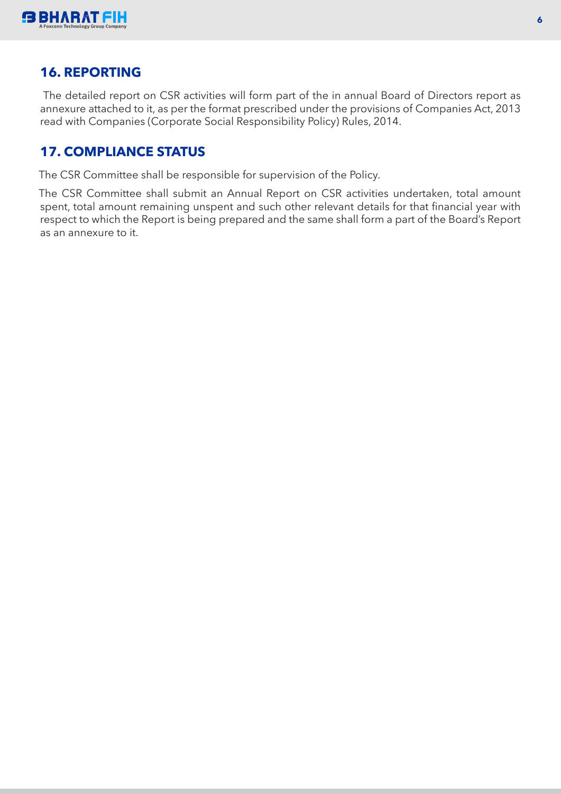

## **16. REPORTING**

The detailed report on CSR activities will form part of the in annual Board of Directors report as annexure attached to it, as per the format prescribed under the provisions of Companies Act, 2013 read with Companies (Corporate Social Responsibility Policy) Rules, 2014.

# **17. COMPLIANCE STATUS**

The CSR Committee shall be responsible for supervision of the Policy.

The CSR Committee shall submit an Annual Report on CSR activities undertaken, total amount spent, total amount remaining unspent and such other relevant details for that financial year with respect to which the Report is being prepared and the same shall form a part of the Board's Report as an annexure to it.